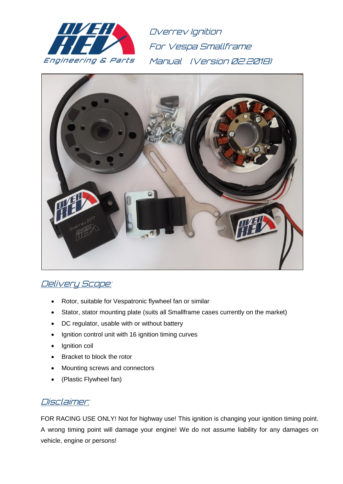

Overrev Ignition For Vespa Smallframe Manual (Version 02.2018)



## Delivery Scope:

- Rotor, suitable for Vespatronic flywheel fan or similar
- Stator, stator mounting plate (suits all Smallframe cases currently on the market)
- DC regulator, usable with or without battery
- Ignition control unit with 16 ignition timing curves
- Ignition coil
- Bracket to block the rotor
- Mounting screws and connectors
- (Plastic Flywheel fan)

#### Disclaimer:

FOR RACING USE ONLY! Not for highway use! This ignition is changing your ignition timing point. A wrong timing point will damage your engine! We do not assume liability for any damages on vehicle, engine or persons!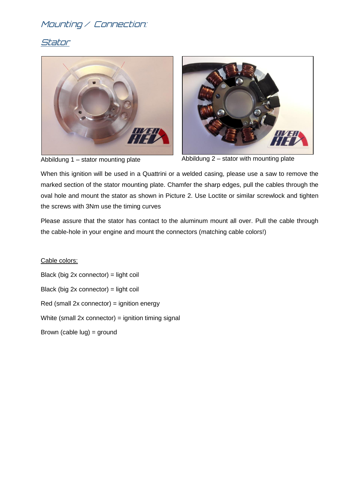# Mounting / Connection:

#### Stator





Abbildung 1 – stator mounting plate Abbildung 2 – stator with mounting plate

When this ignition will be used in a Quattrini or a welded casing, please use a saw to remove the marked section of the stator mounting plate. Chamfer the sharp edges, pull the cables through the oval hole and mount the stator as shown in Picture 2. Use Loctite or similar screwlock and tighten the screws with 3Nm use the timing curves

Please assure that the stator has contact to the aluminum mount all over. Pull the cable through the cable-hole in your engine and mount the connectors (matching cable colors!)

Cable colors: Black (big 2x connector) = light coil Black (big 2x connector) = light coil  $Red$  (small 2x connector) = ignition energy White (small  $2x$  connector) = ignition timing signal Brown (cable lug) = ground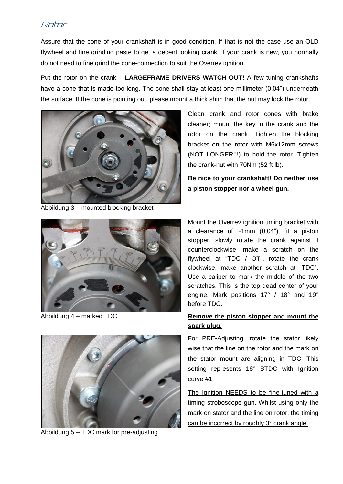#### Rotor

Assure that the cone of your crankshaft is in good condition. If that is not the case use an OLD flywheel and fine grinding paste to get a decent looking crank. If your crank is new, you normally do not need to fine grind the cone-connection to suit the Overrev ignition.

Put the rotor on the crank – **LARGEFRAME DRIVERS WATCH OUT!** A few tuning crankshafts have a cone that is made too long. The cone shall stay at least one millimeter (0,04") underneath the surface. If the cone is pointing out, please mount a thick shim that the nut may lock the rotor.



Abbildung 3 – mounted blocking bracket



Abbildung 4 – marked TDC



Abbildung 5 – TDC mark for pre-adjusting

Clean crank and rotor cones with brake cleaner; mount the key in the crank and the rotor on the crank. Tighten the blocking bracket on the rotor with M6x12mm screws (NOT LONGER!!!) to hold the rotor. Tighten the crank-nut with 70Nm (52 ft lb).

**Be nice to your crankshaft! Do neither use a piston stopper nor a wheel gun.**

Mount the Overrev ignition timing bracket with a clearance of  $~1mm$  (0,04"), fit a piston stopper, slowly rotate the crank against it counterclockwise, make a scratch on the flywheel at "TDC / OT", rotate the crank clockwise, make another scratch at "TDC". Use a caliper to mark the middle of the two scratches. This is the top dead center of your engine. Mark positions 17° / 18° and 19° before TDC.

#### **Remove the piston stopper and mount the spark plug.**

For PRE-Adjusting, rotate the stator likely wise that the line on the rotor and the mark on the stator mount are aligning in TDC. This setting represents 18° BTDC with Ignition curve #1.

The Ignition NEEDS to be fine-tuned with a timing stroboscope gun. Whilst using only the mark on stator and the line on rotor, the timing can be incorrect by roughly 3° crank angle!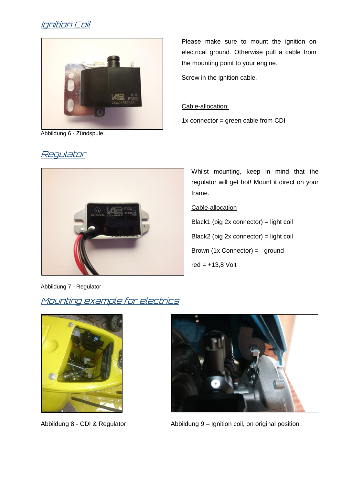# Ignition Coil



Abbildung 6 - Zündspule

# Please make sure to mount the ignition on electrical ground. Otherwise pull a cable from the mounting point to your engine.

Screw in the ignition cable.

#### Cable-allocation:

 $1x$  connector = green cable from CDI



Whilst mounting, keep in mind that the regulator will get hot! Mount it direct on your frame.

#### Cable-allocation

Black1 (big 2x connector) = light coil Black2 (big 2x connector) = light coil Brown (1x Connector) = - ground red  $= +13.8$  Volt

Abbildung 7 - Regulator

## Mounting example for electrics





Abbildung 8 - CDI & Regulator **Abbildung 9** – Ignition coil, on original position

#### Regulator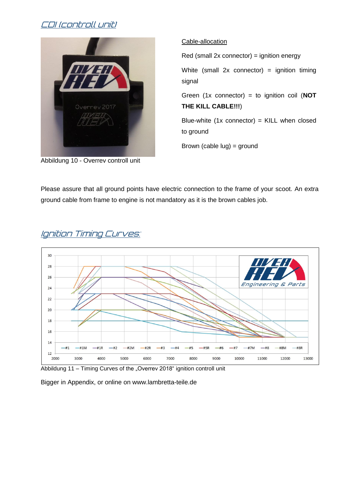# CDI (controll unit)



Abbildung 10 - Overrev controll unit

Cable-allocation

 $Red$  (small 2x connector) = ignition energy

White (small  $2x$  connector) = ignition timing signal

Green (1x connector) = to ignition coil (**NOT THE KILL CABLE!!!**)

Blue-white  $(1x \text{ connector}) =$  KILL when closed to ground

Brown (cable lug) = ground

Please assure that all ground points have electric connection to the frame of your scoot. An extra ground cable from frame to engine is not mandatory as it is the brown cables job.



# Ignition Timing Curves:

Abbildung 11 – Timing Curves of the "Overrev 2018" ignition controll unit

Bigger in Appendix, or online on www.lambretta-teile.de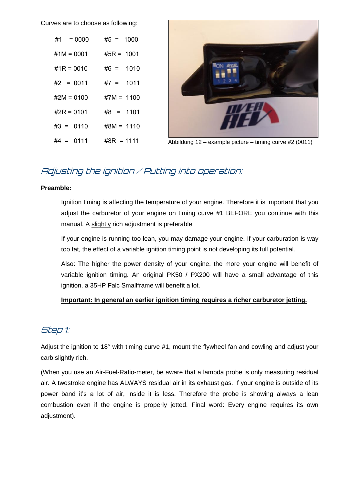Curves are to choose as following:

| $#1 = 0000$   | $#5 = 1000$   |
|---------------|---------------|
| $\#1M = 0001$ | $#5R = 1001$  |
| #1R = 0010    | $\#6 = 1010$  |
| #2 = 0011     | $#7 = 1011$   |
| #2M = 0100    | $#7M = 1100$  |
| #2R = 0101    | $#8 = 1101$   |
| $#3 = 0110$   | $\#8M = 1110$ |
| #4 = 0111     | $\#8R = 1111$ |



Abbildung 12 – example picture – timing curve #2 (0011)

# Adjusting the ignition / Putting into operation:

#### **Preamble:**

Ignition timing is affecting the temperature of your engine. Therefore it is important that you adjust the carburetor of your engine on timing curve #1 BEFORE you continue with this manual. A slightly rich adjustment is preferable.

If your engine is running too lean, you may damage your engine. If your carburation is way too fat, the effect of a variable ignition timing point is not developing its full potential.

Also: The higher the power density of your engine, the more your engine will benefit of variable ignition timing. An original PK50 / PX200 will have a small advantage of this ignition, a 35HP Falc Smallframe will benefit a lot.

#### **Important: In general an earlier ignition timing requires a richer carburetor jetting.**

## Step 1:

Adjust the ignition to 18° with timing curve #1, mount the flywheel fan and cowling and adjust your carb slightly rich.

(When you use an Air-Fuel-Ratio-meter, be aware that a lambda probe is only measuring residual air. A twostroke engine has ALWAYS residual air in its exhaust gas. If your engine is outside of its power band it's a lot of air, inside it is less. Therefore the probe is showing always a lean combustion even if the engine is properly jetted. Final word: Every engine requires its own adjustment).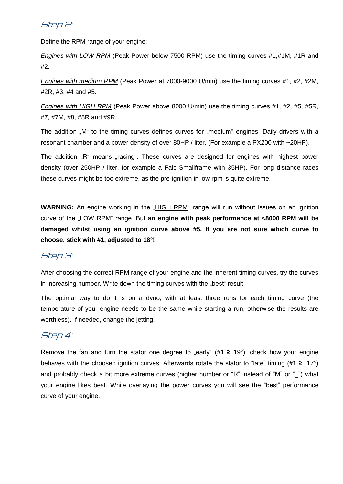#### Step 2:

Define the RPM range of your engine:

*Engines with LOW RPM* (Peak Power below 7500 RPM) use the timing curves #1,#1M, #1R and #2.

*Engines with medium RPM* (Peak Power at 7000-9000 U/min) use the timing curves #1, #2, #2M, #2R, #3, #4 and #5.

*Engines with HIGH RPM* (Peak Power above 8000 U/min) use the timing curves #1, #2, #5, #5R, #7, #7M, #8, #8R and #9R.

The addition "M" to the timing curves defines curves for "medium" engines: Daily drivers with a resonant chamber and a power density of over 80HP / liter. (For example a PX200 with ~20HP).

The addition "R" means "racing". These curves are designed for engines with highest power density (over 250HP / liter, for example a Falc Smallframe with 35HP). For long distance races these curves might be too extreme, as the pre-ignition in low rpm is quite extreme.

**WARNING:** An engine working in the "HIGH RPM" range will run without issues on an ignition curve of the "LOW RPM" range. But **an engine with peak performance at <8000 RPM will be damaged whilst using an ignition curve above #5. If you are not sure which curve to choose, stick with #1, adjusted to 18°!**

#### Step 3:

After choosing the correct RPM range of your engine and the inherent timing curves, try the curves in increasing number. Write down the timing curves with the "best" result.

The optimal way to do it is on a dyno, with at least three runs for each timing curve (the temperature of your engine needs to be the same while starting a run, otherwise the results are worthless). If needed, change the jetting.

## Step 4:

Remove the fan and turn the stator one degree to "early" ( $#1 \ge 19^{\circ}$ ), check how your engine behaves with the choosen ignition curves. Afterwards rotate the stator to "late" timing (**#1 ≥** 17°) and probably check a bit more extreme curves (higher number or "R" instead of "M" or " ") what your engine likes best. While overlaying the power curves you will see the "best" performance curve of your engine.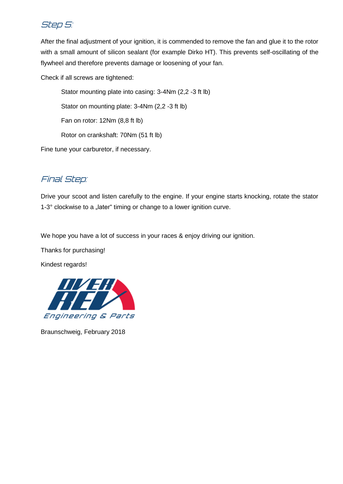## Step 5:

After the final adjustment of your ignition, it is commended to remove the fan and glue it to the rotor with a small amount of silicon sealant (for example Dirko HT). This prevents self-oscillating of the flywheel and therefore prevents damage or loosening of your fan.

Check if all screws are tightened:

Stator mounting plate into casing: 3-4Nm (2,2 -3 ft lb) Stator on mounting plate: 3-4Nm (2,2 -3 ft lb)

Fan on rotor: 12Nm (8,8 ft lb)

Rotor on crankshaft: 70Nm (51 ft lb)

Fine tune your carburetor, if necessary.

# Final Step:

Drive your scoot and listen carefully to the engine. If your engine starts knocking, rotate the stator 1-3° clockwise to a "later" timing or change to a lower ignition curve.

We hope you have a lot of success in your races & enjoy driving our ignition.

Thanks for purchasing!

Kindest regards!



Braunschweig, February 2018